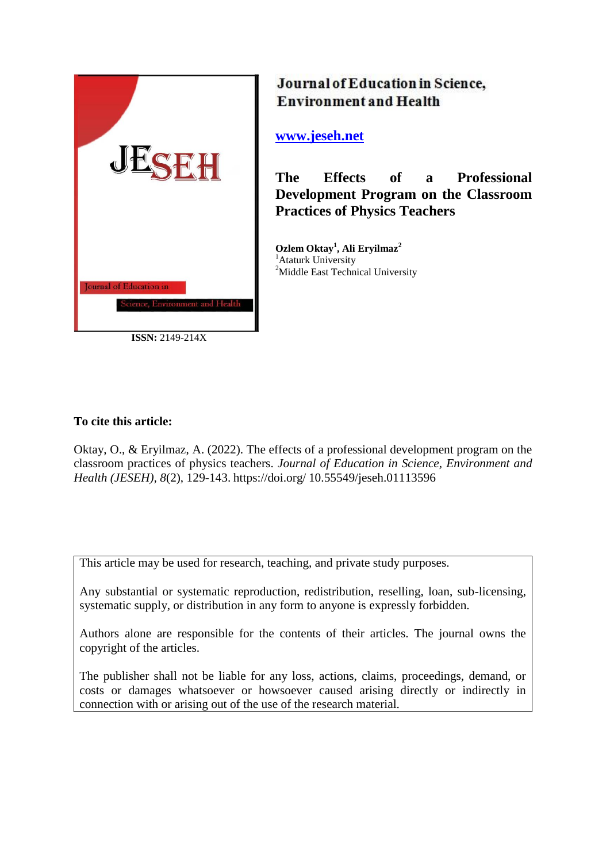

**ISSN:** 2149-214X

# Journal of Education in Science, **Environment and Health**

**[www.jeseh.net](file:///C:/Users/mustafa/Desktop/www.jeseh.net)**

**The Effects of a Professional Development Program on the Classroom Practices of Physics Teachers** 

**Ozlem Oktay<sup>1</sup> , Ali Eryilmaz<sup>2</sup>** <sup>1</sup>Ataturk University <sup>2</sup>Middle East Technical University

## **To cite this article:**

Oktay, O., & Eryilmaz, A. (2022). The effects of a professional development program on the classroom practices of physics teachers. *Journal of Education in Science, Environment and Health (JESEH), 8*(2), 129-143. https://doi.org/ 10.55549/jeseh.01113596

This article may be used for research, teaching, and private study purposes.

Any substantial or systematic reproduction, redistribution, reselling, loan, sub-licensing, systematic supply, or distribution in any form to anyone is expressly forbidden.

Authors alone are responsible for the contents of their articles. The journal owns the copyright of the articles.

The publisher shall not be liable for any loss, actions, claims, proceedings, demand, or costs or damages whatsoever or howsoever caused arising directly or indirectly in connection with or arising out of the use of the research material.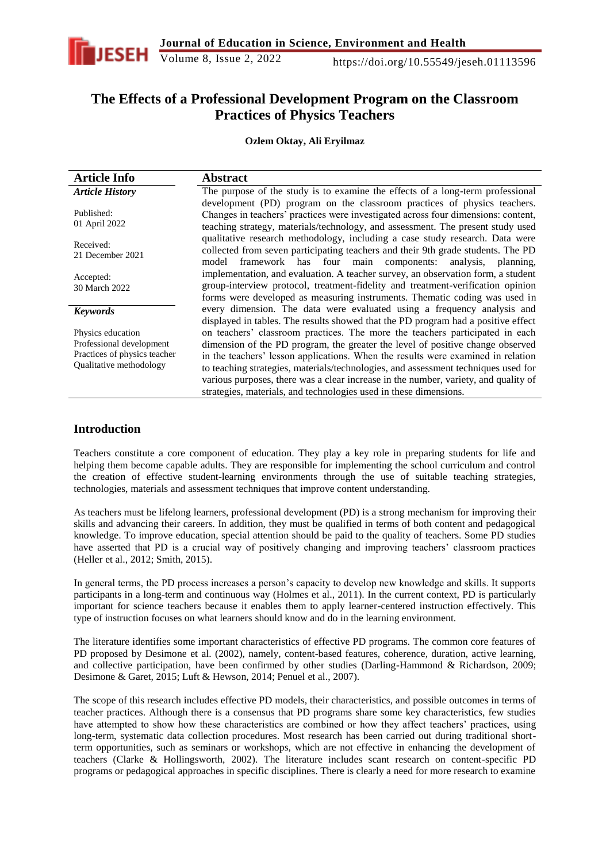

## **The Effects of a Professional Development Program on the Classroom Practices of Physics Teachers**

#### **Ozlem Oktay, Ali Eryilmaz**

| <b>Article Info</b>                                                                                      | <b>Abstract</b>                                                                                                                                                                                                                                                                                                                                                                                                                                                                                      |
|----------------------------------------------------------------------------------------------------------|------------------------------------------------------------------------------------------------------------------------------------------------------------------------------------------------------------------------------------------------------------------------------------------------------------------------------------------------------------------------------------------------------------------------------------------------------------------------------------------------------|
| <b>Article History</b>                                                                                   | The purpose of the study is to examine the effects of a long-term professional                                                                                                                                                                                                                                                                                                                                                                                                                       |
| Published:<br>01 April 2022                                                                              | development (PD) program on the classroom practices of physics teachers.<br>Changes in teachers' practices were investigated across four dimensions: content,<br>teaching strategy, materials/technology, and assessment. The present study used                                                                                                                                                                                                                                                     |
| Received:<br>21 December 2021                                                                            | qualitative research methodology, including a case study research. Data were<br>collected from seven participating teachers and their 9th grade students. The PD<br>model framework has four main components: analysis, planning,                                                                                                                                                                                                                                                                    |
| Accepted:<br>30 March 2022                                                                               | implementation, and evaluation. A teacher survey, an observation form, a student<br>group-interview protocol, treatment-fidelity and treatment-verification opinion<br>forms were developed as measuring instruments. Thematic coding was used in                                                                                                                                                                                                                                                    |
| <b>Keywords</b>                                                                                          | every dimension. The data were evaluated using a frequency analysis and<br>displayed in tables. The results showed that the PD program had a positive effect                                                                                                                                                                                                                                                                                                                                         |
| Physics education<br>Professional development<br>Practices of physics teacher<br>Qualitative methodology | on teachers' classroom practices. The more the teachers participated in each<br>dimension of the PD program, the greater the level of positive change observed<br>in the teachers' lesson applications. When the results were examined in relation<br>to teaching strategies, materials/technologies, and assessment techniques used for<br>various purposes, there was a clear increase in the number, variety, and quality of<br>strategies, materials, and technologies used in these dimensions. |

## **Introduction**

Teachers constitute a core component of education. They play a key role in preparing students for life and helping them become capable adults. They are responsible for implementing the school curriculum and control the creation of effective student-learning environments through the use of suitable teaching strategies, technologies, materials and assessment techniques that improve content understanding.

As teachers must be lifelong learners, professional development (PD) is a strong mechanism for improving their skills and advancing their careers. In addition, they must be qualified in terms of both content and pedagogical knowledge. To improve education, special attention should be paid to the quality of teachers. Some PD studies have asserted that PD is a crucial way of positively changing and improving teachers' classroom practices (Heller et al., 2012; Smith, 2015).

In general terms, the PD process increases a person's capacity to develop new knowledge and skills. It supports participants in a long-term and continuous way (Holmes et al., 2011). In the current context, PD is particularly important for science teachers because it enables them to apply learner-centered instruction effectively. This type of instruction focuses on what learners should know and do in the learning environment.

The literature identifies some important characteristics of effective PD programs. The common core features of PD proposed by Desimone et al. (2002), namely, content-based features, coherence, duration, active learning, and collective participation, have been confirmed by other studies (Darling-Hammond & Richardson, 2009; Desimone & Garet, 2015; Luft & Hewson, 2014; Penuel et al., 2007).

The scope of this research includes effective PD models, their characteristics, and possible outcomes in terms of teacher practices. Although there is a consensus that PD programs share some key characteristics, few studies have attempted to show how these characteristics are combined or how they affect teachers' practices, using long-term, systematic data collection procedures. Most research has been carried out during traditional shortterm opportunities, such as seminars or workshops, which are not effective in enhancing the development of teachers (Clarke & Hollingsworth, 2002). The literature includes scant research on content-specific PD programs or pedagogical approaches in specific disciplines. There is clearly a need for more research to examine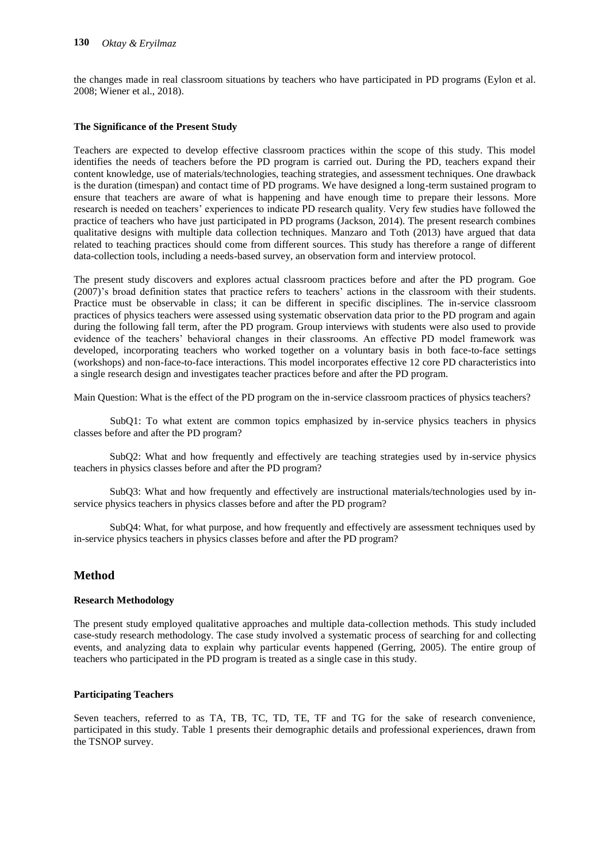the changes made in real classroom situations by teachers who have participated in PD programs (Eylon et al. 2008; Wiener et al., 2018).

#### **The Significance of the Present Study**

Teachers are expected to develop effective classroom practices within the scope of this study. This model identifies the needs of teachers before the PD program is carried out. During the PD, teachers expand their content knowledge, use of materials/technologies, teaching strategies, and assessment techniques. One drawback is the duration (timespan) and contact time of PD programs. We have designed a long-term sustained program to ensure that teachers are aware of what is happening and have enough time to prepare their lessons. More research is needed on teachers' experiences to indicate PD research quality. Very few studies have followed the practice of teachers who have just participated in PD programs (Jackson, 2014). The present research combines qualitative designs with multiple data collection techniques. Manzaro and Toth (2013) have argued that data related to teaching practices should come from different sources. This study has therefore a range of different data-collection tools, including a needs-based survey, an observation form and interview protocol.

The present study discovers and explores actual classroom practices before and after the PD program. Goe (2007)'s broad definition states that practice refers to teachers' actions in the classroom with their students. Practice must be observable in class; it can be different in specific disciplines. The in-service classroom practices of physics teachers were assessed using systematic observation data prior to the PD program and again during the following fall term, after the PD program. Group interviews with students were also used to provide evidence of the teachers' behavioral changes in their classrooms. An effective PD model framework was developed, incorporating teachers who worked together on a voluntary basis in both face-to-face settings (workshops) and non-face-to-face interactions. This model incorporates effective 12 core PD characteristics into a single research design and investigates teacher practices before and after the PD program.

Main Question: What is the effect of the PD program on the in-service classroom practices of physics teachers?

SubQ1: To what extent are common topics emphasized by in-service physics teachers in physics classes before and after the PD program?

 SubQ2: What and how frequently and effectively are teaching strategies used by in-service physics teachers in physics classes before and after the PD program?

 SubQ3: What and how frequently and effectively are instructional materials/technologies used by inservice physics teachers in physics classes before and after the PD program?

 SubQ4: What, for what purpose, and how frequently and effectively are assessment techniques used by in-service physics teachers in physics classes before and after the PD program?

## **Method**

#### **Research Methodology**

The present study employed qualitative approaches and multiple data-collection methods. This study included case-study research methodology. The case study involved a systematic process of searching for and collecting events, and analyzing data to explain why particular events happened (Gerring, 2005). The entire group of teachers who participated in the PD program is treated as a single case in this study.

#### **Participating Teachers**

Seven teachers, referred to as TA, TB, TC, TD, TE, TF and TG for the sake of research convenience, participated in this study. Table 1 presents their demographic details and professional experiences, drawn from the TSNOP survey.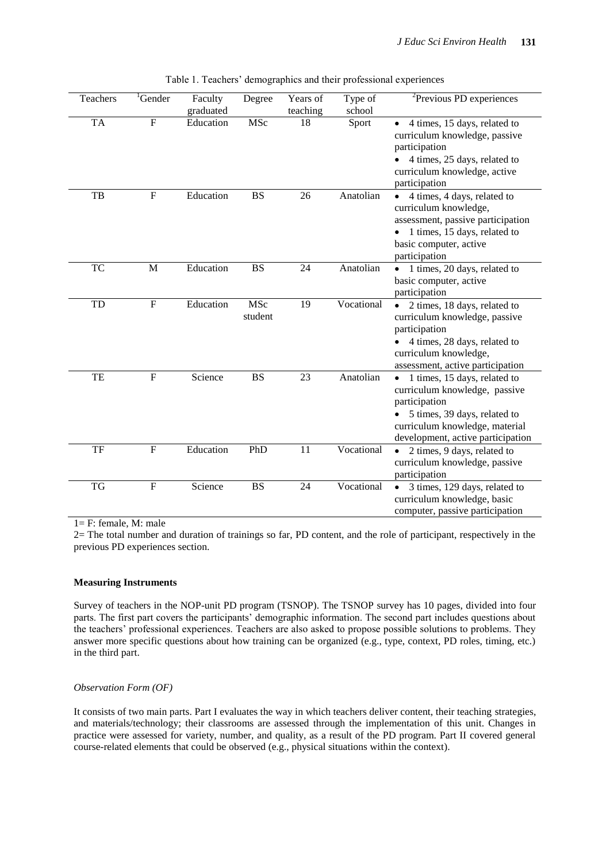| Teachers  | <sup>1</sup> Gender       | Faculty<br>graduated | Degree         | Years of<br>teaching | Type of<br>school | ${}^{2}$ Previous PD experiences                                                                                                                                                                   |
|-----------|---------------------------|----------------------|----------------|----------------------|-------------------|----------------------------------------------------------------------------------------------------------------------------------------------------------------------------------------------------|
| <b>TA</b> | $\boldsymbol{\mathrm{F}}$ | Education            | <b>MSc</b>     | 18                   | Sport             | 4 times, 15 days, related to<br>curriculum knowledge, passive<br>participation<br>4 times, 25 days, related to<br>curriculum knowledge, active<br>participation                                    |
| TB        | ${\bf F}$                 | Education            | <b>BS</b>      | 26                   | Anatolian         | 4 times, 4 days, related to<br>$\bullet$<br>curriculum knowledge,<br>assessment, passive participation<br>• 1 times, 15 days, related to<br>basic computer, active<br>participation                |
| TC        | M                         | Education            | <b>BS</b>      | 24                   | Anatolian         | 1 times, 20 days, related to<br>basic computer, active<br>participation                                                                                                                            |
| TD        | ${\bf F}$                 | Education            | MSc<br>student | 19                   | Vocational        | 2 times, 18 days, related to<br>$\bullet$<br>curriculum knowledge, passive<br>participation<br>4 times, 28 days, related to<br>curriculum knowledge,<br>assessment, active participation           |
| TE        | ${\bf F}$                 | Science              | <b>BS</b>      | 23                   | Anatolian         | 1 times, 15 days, related to<br>$\bullet$<br>curriculum knowledge, passive<br>participation<br>5 times, 39 days, related to<br>curriculum knowledge, material<br>development, active participation |
| TF        | $\overline{F}$            | Education            | PhD            | 11                   | Vocational        | 2 times, 9 days, related to<br>curriculum knowledge, passive<br>participation                                                                                                                      |
| TG        | $\boldsymbol{\mathrm{F}}$ | Science              | <b>BS</b>      | 24                   | Vocational        | 3 times, 129 days, related to<br>$\bullet$<br>curriculum knowledge, basic<br>computer, passive participation                                                                                       |

|  | Table 1. Teachers' demographics and their professional experiences |  |  |
|--|--------------------------------------------------------------------|--|--|
|  |                                                                    |  |  |
|  |                                                                    |  |  |

 $1 = F$ : female, M: male

2= The total number and duration of trainings so far, PD content, and the role of participant, respectively in the previous PD experiences section.

#### **Measuring Instruments**

Survey of teachers in the NOP-unit PD program (TSNOP). The TSNOP survey has 10 pages, divided into four parts. The first part covers the participants' demographic information. The second part includes questions about the teachers' professional experiences. Teachers are also asked to propose possible solutions to problems. They answer more specific questions about how training can be organized (e.g., type, context, PD roles, timing, etc.) in the third part.

#### *Observation Form (OF)*

It consists of two main parts. Part I evaluates the way in which teachers deliver content, their teaching strategies, and materials/technology; their classrooms are assessed through the implementation of this unit. Changes in practice were assessed for variety, number, and quality, as a result of the PD program. Part II covered general course-related elements that could be observed (e.g., physical situations within the context).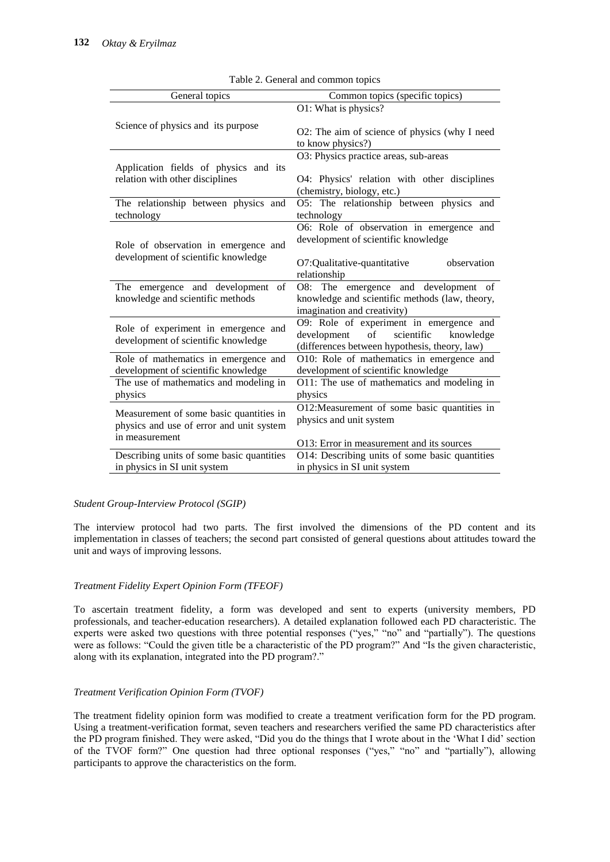| General topics                                                              | Common topics (specific topics)                                    |
|-----------------------------------------------------------------------------|--------------------------------------------------------------------|
|                                                                             | O1: What is physics?                                               |
| Science of physics and its purpose                                          | O2: The aim of science of physics (why I need<br>to know physics?) |
|                                                                             | O3: Physics practice areas, sub-areas                              |
| Application fields of physics and its                                       |                                                                    |
| relation with other disciplines                                             | O4: Physics' relation with other disciplines                       |
|                                                                             | (chemistry, biology, etc.)                                         |
| The relationship between physics and                                        | O5: The relationship between physics and                           |
| technology                                                                  | technology                                                         |
|                                                                             | O6: Role of observation in emergence and                           |
|                                                                             | development of scientific knowledge                                |
| Role of observation in emergence and<br>development of scientific knowledge |                                                                    |
|                                                                             | O7:Qualitative-quantitative<br>observation                         |
|                                                                             | relationship                                                       |
| The emergence and development of                                            | O8: The emergence and development of                               |
| knowledge and scientific methods                                            | knowledge and scientific methods (law, theory,                     |
|                                                                             | imagination and creativity)                                        |
| Role of experiment in emergence and                                         | O9: Role of experiment in emergence and                            |
| development of scientific knowledge                                         | of<br>scientific<br>development<br>knowledge                       |
|                                                                             | (differences between hypothesis, theory, law)                      |
| Role of mathematics in emergence and                                        | O10: Role of mathematics in emergence and                          |
| development of scientific knowledge                                         | development of scientific knowledge                                |
| The use of mathematics and modeling in                                      | O11: The use of mathematics and modeling in                        |
| physics                                                                     | physics                                                            |
| Measurement of some basic quantities in                                     | O12:Measurement of some basic quantities in                        |
| physics and use of error and unit system                                    | physics and unit system                                            |
| in measurement                                                              |                                                                    |
|                                                                             | O13: Error in measurement and its sources                          |
| Describing units of some basic quantities                                   | O14: Describing units of some basic quantities                     |
| in physics in SI unit system                                                | in physics in SI unit system                                       |

Table 2. General and common topics

## *Student Group-Interview Protocol (SGIP)*

The interview protocol had two parts. The first involved the dimensions of the PD content and its implementation in classes of teachers; the second part consisted of general questions about attitudes toward the unit and ways of improving lessons.

## *Treatment Fidelity Expert Opinion Form (TFEOF)*

To ascertain treatment fidelity, a form was developed and sent to experts (university members, PD professionals, and teacher-education researchers). A detailed explanation followed each PD characteristic. The experts were asked two questions with three potential responses ("yes," "no" and "partially"). The questions were as follows: "Could the given title be a characteristic of the PD program?" And "Is the given characteristic, along with its explanation, integrated into the PD program?."

## *Treatment Verification Opinion Form (TVOF)*

The treatment fidelity opinion form was modified to create a treatment verification form for the PD program. Using a treatment-verification format, seven teachers and researchers verified the same PD characteristics after the PD program finished. They were asked, "Did you do the things that I wrote about in the 'What I did' section of the TVOF form?" One question had three optional responses ("yes," "no" and "partially"), allowing participants to approve the characteristics on the form.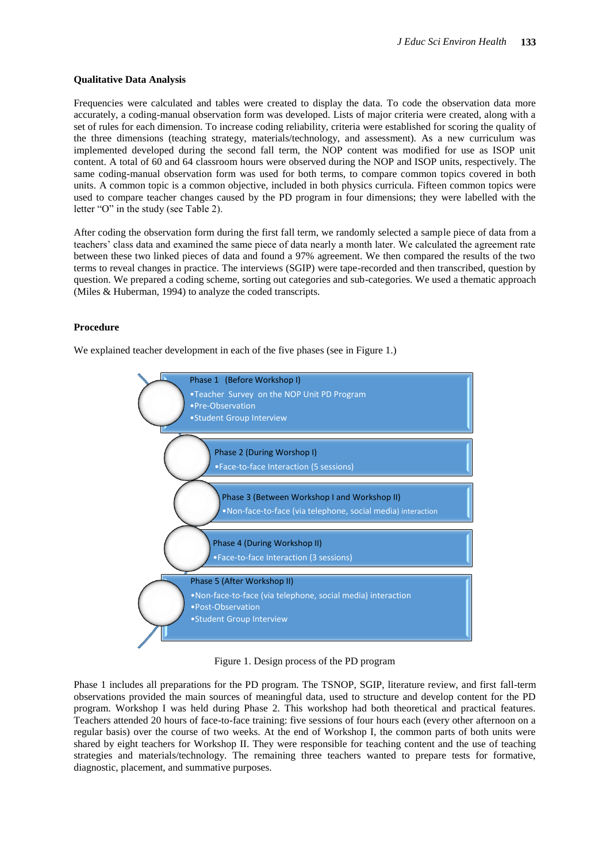## **Qualitative Data Analysis**

Frequencies were calculated and tables were created to display the data. To code the observation data more accurately, a coding-manual observation form was developed. Lists of major criteria were created, along with a set of rules for each dimension. To increase coding reliability, criteria were established for scoring the quality of the three dimensions (teaching strategy, materials/technology, and assessment). As a new curriculum was implemented developed during the second fall term, the NOP content was modified for use as ISOP unit content. A total of 60 and 64 classroom hours were observed during the NOP and ISOP units, respectively. The same coding-manual observation form was used for both terms, to compare common topics covered in both units. A common topic is a common objective, included in both physics curricula. Fifteen common topics were used to compare teacher changes caused by the PD program in four dimensions; they were labelled with the letter "O" in the study (see Table 2).

After coding the observation form during the first fall term, we randomly selected a sample piece of data from a teachers' class data and examined the same piece of data nearly a month later. We calculated the agreement rate between these two linked pieces of data and found a 97% agreement. We then compared the results of the two terms to reveal changes in practice. The interviews (SGIP) were tape-recorded and then transcribed, question by question. We prepared a coding scheme, sorting out categories and sub-categories. We used a thematic approach (Miles & Huberman, 1994) to analyze the coded transcripts.

#### **Procedure**

We explained teacher development in each of the five phases (see in Figure 1.)



Figure 1. Design process of the PD program

Phase 1 includes all preparations for the PD program. The TSNOP, SGIP, literature review, and first fall-term observations provided the main sources of meaningful data, used to structure and develop content for the PD program. Workshop I was held during Phase 2. This workshop had both theoretical and practical features. Teachers attended 20 hours of face-to-face training: five sessions of four hours each (every other afternoon on a regular basis) over the course of two weeks. At the end of Workshop I, the common parts of both units were shared by eight teachers for Workshop II. They were responsible for teaching content and the use of teaching strategies and materials/technology. The remaining three teachers wanted to prepare tests for formative, diagnostic, placement, and summative purposes.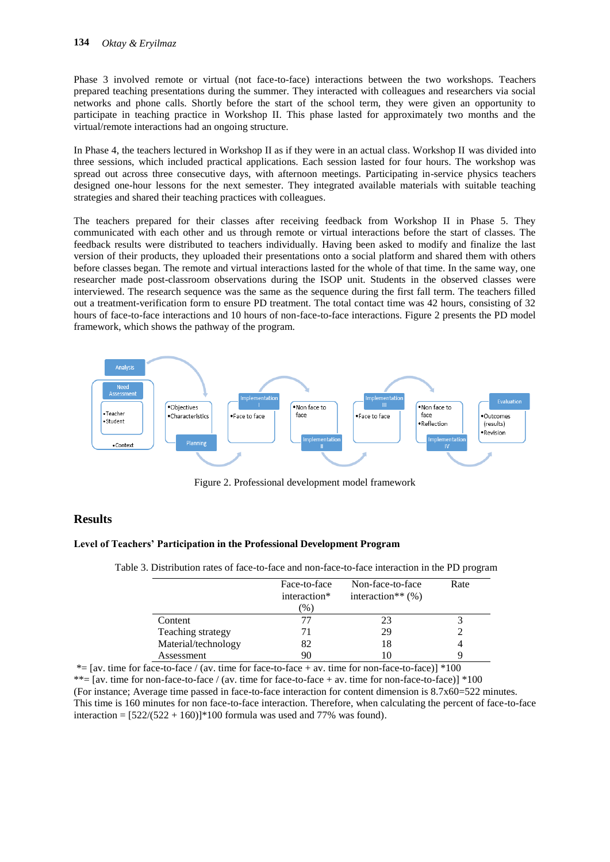Phase 3 involved remote or virtual (not face-to-face) interactions between the two workshops. Teachers prepared teaching presentations during the summer. They interacted with colleagues and researchers via social networks and phone calls. Shortly before the start of the school term, they were given an opportunity to participate in teaching practice in Workshop II. This phase lasted for approximately two months and the virtual/remote interactions had an ongoing structure.

In Phase 4, the teachers lectured in Workshop II as if they were in an actual class. Workshop II was divided into three sessions, which included practical applications. Each session lasted for four hours. The workshop was spread out across three consecutive days, with afternoon meetings. Participating in-service physics teachers designed one-hour lessons for the next semester. They integrated available materials with suitable teaching strategies and shared their teaching practices with colleagues.

The teachers prepared for their classes after receiving feedback from Workshop II in Phase 5. They communicated with each other and us through remote or virtual interactions before the start of classes. The feedback results were distributed to teachers individually. Having been asked to modify and finalize the last version of their products, they uploaded their presentations onto a social platform and shared them with others before classes began. The remote and virtual interactions lasted for the whole of that time. In the same way, one researcher made post-classroom observations during the ISOP unit. Students in the observed classes were interviewed. The research sequence was the same as the sequence during the first fall term. The teachers filled out a treatment-verification form to ensure PD treatment. The total contact time was 42 hours, consisting of 32 hours of face-to-face interactions and 10 hours of non-face-to-face interactions. Figure 2 presents the PD model framework, which shows the pathway of the program.



Figure 2. Professional development model framework

## **Results**

## **Level of Teachers' Participation in the Professional Development Program**

|                     | Face-to-face | Non-face-to-face     | Rate |
|---------------------|--------------|----------------------|------|
|                     | interaction* | interaction** $(\%)$ |      |
|                     | $\%$ )       |                      |      |
| Content             | 77           | 23                   |      |
| Teaching strategy   | 71           | 29                   |      |
| Material/technology | 82           | 18                   |      |
| Assessment          | 90           | l ()                 |      |

Table 3. Distribution rates of face-to-face and non-face-to-face interaction in the PD program

 $*=[av.$  time for face-to-face / (av. time for face-to-face + av. time for non-face-to-face)]  $*100$ \*\*=  $[av.$  time for non-face-to-face / (av. time for face-to-face + av. time for non-face-to-face)] \*100 (For instance; Average time passed in face-to-face interaction for content dimension is 8.7x60=522 minutes. This time is 160 minutes for non face-to-face interaction. Therefore, when calculating the percent of face-to-face interaction =  $[522/(522 + 160)]*100$  formula was used and 77% was found).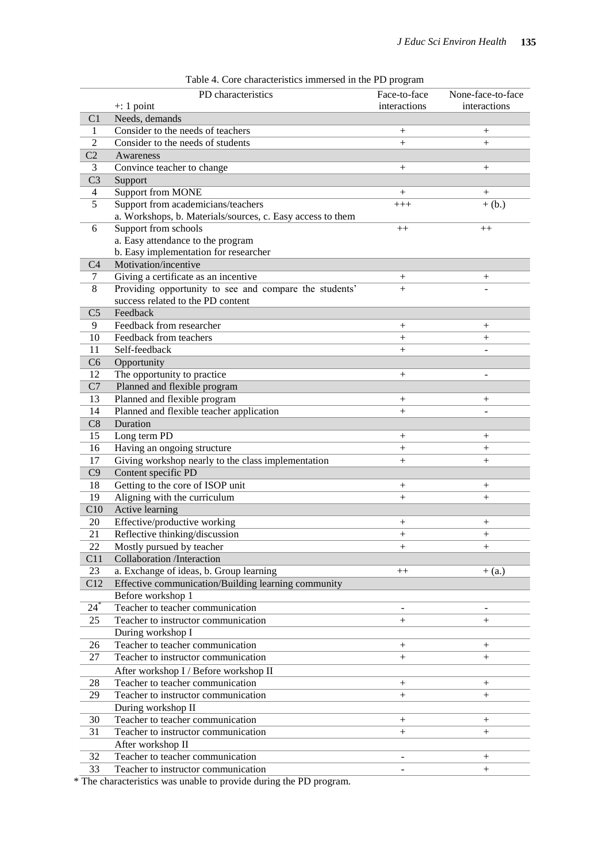|                 | radio 4. Core characteristics infinersed in the FD program |                    |                   |
|-----------------|------------------------------------------------------------|--------------------|-------------------|
|                 | PD characteristics                                         | Face-to-face       | None-face-to-face |
|                 | $\pm$ : 1 point                                            | interactions       | interactions      |
| C <sub>1</sub>  | Needs, demands                                             |                    |                   |
| 1               | Consider to the needs of teachers                          | $^{+}$             | $^{+}$            |
| $\overline{2}$  | Consider to the needs of students                          | $+$                | $^{+}$            |
| C2              | Awareness                                                  |                    |                   |
| 3               | Convince teacher to change                                 | $^{+}$             | $^{+}$            |
| C <sub>3</sub>  | Support                                                    |                    |                   |
| 4               | <b>Support from MONE</b>                                   | $^{+}$             | $^{+}$            |
| 5               | Support from academicians/teachers                         | $+++$              | $+(b.)$           |
|                 | a. Workshops, b. Materials/sources, c. Easy access to them |                    |                   |
| 6               | Support from schools                                       | $++$               | $^{++}$           |
|                 | a. Easy attendance to the program                          |                    |                   |
|                 | b. Easy implementation for researcher                      |                    |                   |
| C <sub>4</sub>  | Motivation/incentive                                       |                    |                   |
| 7               | Giving a certificate as an incentive                       | $^{+}$             | $^+$              |
| 8               | Providing opportunity to see and compare the students'     | $+$                |                   |
|                 | success related to the PD content                          |                    |                   |
| C <sub>5</sub>  | Feedback                                                   |                    |                   |
| 9               | Feedback from researcher                                   |                    |                   |
|                 |                                                            | $^{+}$             | $^{+}$            |
| 10              | Feedback from teachers                                     | $^{+}$             | $^{+}$            |
| 11              | Self-feedback                                              | $^{+}$             |                   |
| C6              | Opportunity                                                |                    |                   |
| 12              | The opportunity to practice                                | $^{+}$             |                   |
| C7              | Planned and flexible program                               |                    |                   |
| 13              | Planned and flexible program                               | $^{+}$             | $^{+}$            |
| 14              | Planned and flexible teacher application                   | $+$                |                   |
| C8              | Duration                                                   |                    |                   |
| 15              | Long term PD                                               | $^{+}$             | $^{+}$            |
| 16              | Having an ongoing structure                                | $^{+}$             | $^{+}$            |
| 17              | Giving workshop nearly to the class implementation         | $+$                | $^{+}$            |
| C9              | Content specific PD                                        |                    |                   |
| 18              | Getting to the core of ISOP unit                           | $^{+}$             | $^{+}$            |
| 19              | Aligning with the curriculum                               | $+$                | $^{+}$            |
| C10             | Active learning                                            |                    |                   |
| 20              | Effective/productive working                               | $^{+}$             | $^+$              |
| $\overline{21}$ | Reflective thinking/discussion                             | $^{+}$             | $^{+}$            |
| 22              | Mostly pursued by teacher                                  |                    |                   |
| C11             | <b>Collaboration</b> /Interaction                          | $\hspace{0.1mm} +$ | $^{+}$            |
|                 |                                                            |                    |                   |
| 23              | a. Exchange of ideas, b. Group learning                    | $++$               | $+$ (a.)          |
| C12             | Effective communication/Building learning community        |                    |                   |
|                 | Before workshop 1                                          |                    |                   |
| $24^*$          | Teacher to teacher communication                           |                    |                   |
| 25              | Teacher to instructor communication                        | $+$                | $+$               |
|                 | During workshop I                                          |                    |                   |
| 26              | Teacher to teacher communication                           | $^{+}$             | $^{+}$            |
| 27              | Teacher to instructor communication                        | $+$                | $^{+}$            |
|                 | After workshop I / Before workshop II                      |                    |                   |
| 28              | Teacher to teacher communication                           | $^{+}$             | $\! + \!$         |
| 29              | Teacher to instructor communication                        | $+$                | $^{+}$            |
|                 | During workshop II                                         |                    |                   |
| 30              | Teacher to teacher communication                           | $^{+}$             | $\! + \!$         |
| 31              | Teacher to instructor communication                        | $^{+}$             | $^{+}$            |
|                 | After workshop II                                          |                    |                   |
|                 | Teacher to teacher communication                           |                    |                   |
| 32              |                                                            |                    | $\! + \!$         |
| 33              | Teacher to instructor communication                        |                    | $\! + \!$         |

| Table 4. Core characteristics immersed in the PD program |  |  |  |  |
|----------------------------------------------------------|--|--|--|--|
|----------------------------------------------------------|--|--|--|--|

\* The characteristics was unable to provide during the PD program.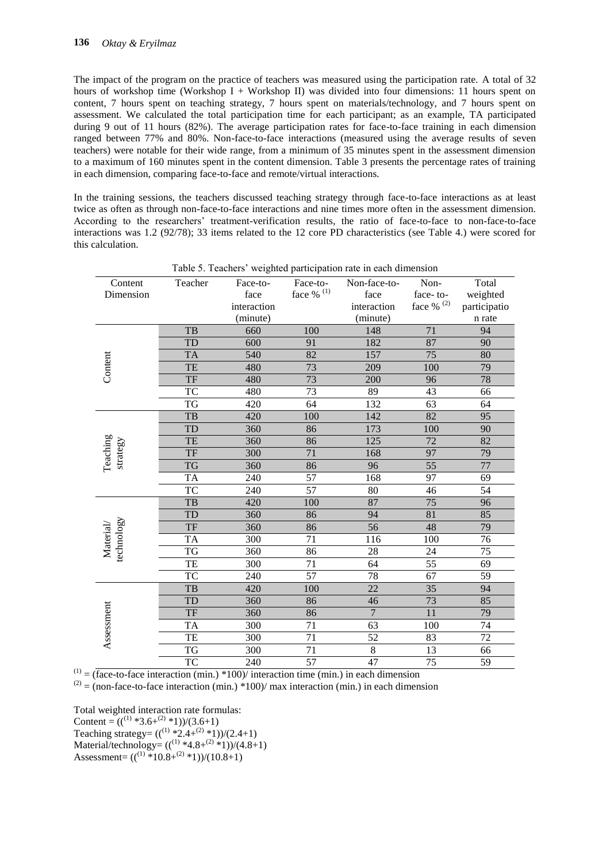The impact of the program on the practice of teachers was measured using the participation rate. A total of 32 hours of workshop time (Workshop I + Workshop II) was divided into four dimensions: 11 hours spent on content, 7 hours spent on teaching strategy, 7 hours spent on materials/technology, and 7 hours spent on assessment. We calculated the total participation time for each participant; as an example, TA participated during 9 out of 11 hours (82%). The average participation rates for face-to-face training in each dimension ranged between 77% and 80%. Non-face-to-face interactions (measured using the average results of seven teachers) were notable for their wide range, from a minimum of 35 minutes spent in the assessment dimension to a maximum of 160 minutes spent in the content dimension. Table 3 presents the percentage rates of training in each dimension, comparing face-to-face and remote/virtual interactions.

In the training sessions, the teachers discussed teaching strategy through face-to-face interactions as at least twice as often as through non-face-to-face interactions and nine times more often in the assessment dimension. According to the researchers' treatment-verification results, the ratio of face-to-face to non-face-to-face interactions was 1.2 (92/78); 33 items related to the 12 core PD characteristics (see Table 4.) were scored for this calculation.

|                         |           |             |                    | Table 5. Feachers weighted participation rate in each difficultion |                 |                 |
|-------------------------|-----------|-------------|--------------------|--------------------------------------------------------------------|-----------------|-----------------|
| Content                 | Teacher   | Face-to-    | Face-to-           | Non-face-to-                                                       | Non-            | Total           |
| Dimension               |           | face        | face $\%$ $^{(1)}$ | face                                                               | face-to-        | weighted        |
|                         |           | interaction |                    | interaction                                                        | face % $(2)$    | participatio    |
|                         |           | (minute)    |                    | (minute)                                                           |                 | n rate          |
|                         | TB        | 660         | 100                | 148                                                                | 71              | 94              |
|                         | <b>TD</b> | 600         | 91                 | 182                                                                | 87              | 90              |
|                         | <b>TA</b> | 540         | 82                 | 157                                                                | 75              | 80              |
| Content                 | <b>TE</b> | 480         | 73                 | 209                                                                | 100             | 79              |
|                         | <b>TF</b> | 480         | 73                 | 200                                                                | 96              | 78              |
|                         | <b>TC</b> | 480         | $\overline{73}$    | 89                                                                 | 43              | 66              |
|                         | TG        | 420         | 64                 | 132                                                                | 63              | 64              |
|                         | TB        | 420         | 100                | 142                                                                | 82              | 95              |
|                         | TD        | 360         | 86                 | 173                                                                | 100             | 90              |
| Teaching                | TE        | 360         | 86                 | 125                                                                | 72              | 82              |
| strategy                | <b>TF</b> | 300         | 71                 | 168                                                                | 97              | 79              |
|                         | <b>TG</b> | 360         | 86                 | 96                                                                 | 55              | 77              |
|                         | <b>TA</b> | 240         | 57                 | 168                                                                | 97              | 69              |
|                         | <b>TC</b> | 240         | 57                 | 80                                                                 | 46              | 54              |
|                         | TB        | 420         | 100                | 87                                                                 | 75              | 96              |
|                         | TD        | 360         | 86                 | 94                                                                 | 81              | 85              |
|                         | <b>TF</b> | 360         | 86                 | 56                                                                 | 48              | 79              |
| technology<br>Material/ | <b>TA</b> | 300         | 71                 | 116                                                                | 100             | 76              |
|                         | <b>TG</b> | 360         | 86                 | 28                                                                 | 24              | $\overline{75}$ |
|                         | TE        | 300         | 71                 | 64                                                                 | 55              | 69              |
|                         | <b>TC</b> | 240         | 57                 | 78                                                                 | 67              | 59              |
|                         | TB        | 420         | 100                | 22                                                                 | 35              | 94              |
|                         | <b>TD</b> | 360         | 86                 | 46                                                                 | 73              | 85              |
|                         | <b>TF</b> | 360         | 86                 | $\overline{7}$                                                     | $\overline{11}$ | 79              |
| Assessment              | <b>TA</b> | 300         | 71                 | 63                                                                 | 100             | 74              |
|                         | TE        | 300         | 71                 | 52                                                                 | 83              | 72              |
|                         | TG        | 300         | 71                 | $\,8\,$                                                            | 13              | 66              |
|                         | <b>TC</b> | 240         | 57                 | 47                                                                 | $\overline{75}$ | 59              |

Table 5. Teachers' weighted participation rate in each dimension

 $(1) = (face-to-face interaction (min.) *100) / interaction time (min.) in each dimension$ 

 $^{(2)}$  = (non-face-to-face interaction (min.) \*100)/ max interaction (min.) in each dimension

Total weighted interaction rate formulas:

Content =  $((^{(1)}*3.6+^{(2)}*1))/(3.6+1)$ Teaching strategy=  $((^{(1)} *2.4+(^{(2)} *1))/(2.4+1))$ Material/technology=  $((^{(1)} *4.8 + ^{(2)} *1))/(4.8 +1)$ Assessment=  $((^{(1)} * 10.8 + ^{(2)} * 1))/(10.8 + 1)$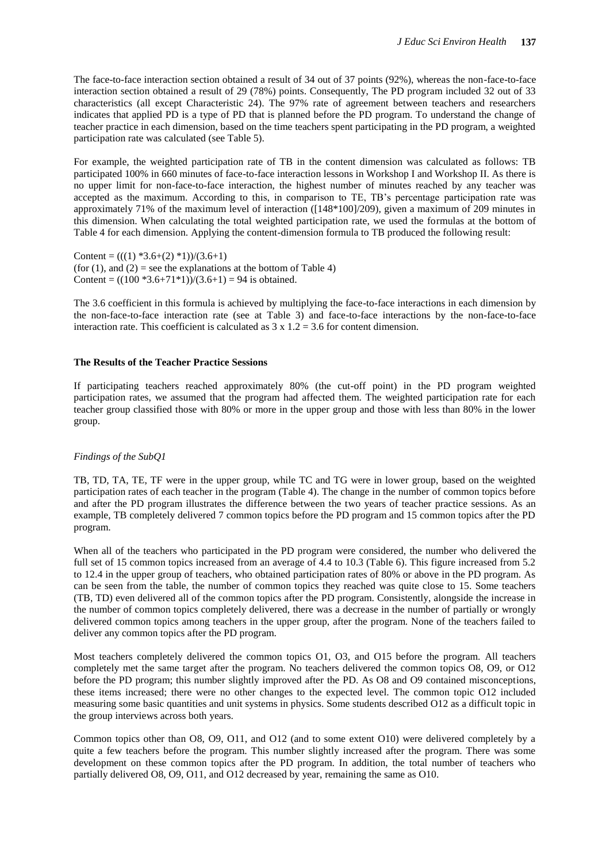The face-to-face interaction section obtained a result of 34 out of 37 points (92%), whereas the non-face-to-face interaction section obtained a result of 29 (78%) points. Consequently, The PD program included 32 out of 33 characteristics (all except Characteristic 24). The 97% rate of agreement between teachers and researchers indicates that applied PD is a type of PD that is planned before the PD program. To understand the change of teacher practice in each dimension, based on the time teachers spent participating in the PD program, a weighted participation rate was calculated (see Table 5).

For example, the weighted participation rate of TB in the content dimension was calculated as follows: TB participated 100% in 660 minutes of face-to-face interaction lessons in Workshop I and Workshop II. As there is no upper limit for non-face-to-face interaction, the highest number of minutes reached by any teacher was accepted as the maximum. According to this, in comparison to TE, TB's percentage participation rate was approximately 71% of the maximum level of interaction ([148\*100]/209), given a maximum of 209 minutes in this dimension. When calculating the total weighted participation rate, we used the formulas at the bottom of Table 4 for each dimension. Applying the content-dimension formula to TB produced the following result:

Content =  $(((1) *3.6+(2) *1))/(3.6+1)$ (for (1), and (2) = see the explanations at the bottom of Table 4) Content =  $((100 * 3.6 + 71 * 1))/(3.6 + 1) = 94$  is obtained.

The 3.6 coefficient in this formula is achieved by multiplying the face-to-face interactions in each dimension by the non-face-to-face interaction rate (see at Table 3) and face-to-face interactions by the non-face-to-face interaction rate. This coefficient is calculated as  $3 \times 1.2 = 3.6$  for content dimension.

#### **The Results of the Teacher Practice Sessions**

If participating teachers reached approximately 80% (the cut-off point) in the PD program weighted participation rates, we assumed that the program had affected them. The weighted participation rate for each teacher group classified those with 80% or more in the upper group and those with less than 80% in the lower group.

#### *Findings of the SubQ1*

TB, TD, TA, TE, TF were in the upper group, while TC and TG were in lower group, based on the weighted participation rates of each teacher in the program (Table 4). The change in the number of common topics before and after the PD program illustrates the difference between the two years of teacher practice sessions. As an example, TB completely delivered 7 common topics before the PD program and 15 common topics after the PD program.

When all of the teachers who participated in the PD program were considered, the number who delivered the full set of 15 common topics increased from an average of 4.4 to 10.3 (Table 6). This figure increased from 5.2 to 12.4 in the upper group of teachers, who obtained participation rates of 80% or above in the PD program. As can be seen from the table, the number of common topics they reached was quite close to 15. Some teachers (TB, TD) even delivered all of the common topics after the PD program. Consistently, alongside the increase in the number of common topics completely delivered, there was a decrease in the number of partially or wrongly delivered common topics among teachers in the upper group, after the program. None of the teachers failed to deliver any common topics after the PD program.

Most teachers completely delivered the common topics O1, O3, and O15 before the program. All teachers completely met the same target after the program. No teachers delivered the common topics O8, O9, or O12 before the PD program; this number slightly improved after the PD. As O8 and O9 contained misconceptions, these items increased; there were no other changes to the expected level. The common topic O12 included measuring some basic quantities and unit systems in physics. Some students described O12 as a difficult topic in the group interviews across both years.

Common topics other than O8, O9, O11, and O12 (and to some extent O10) were delivered completely by a quite a few teachers before the program. This number slightly increased after the program. There was some development on these common topics after the PD program. In addition, the total number of teachers who partially delivered O8, O9, O11, and O12 decreased by year, remaining the same as O10.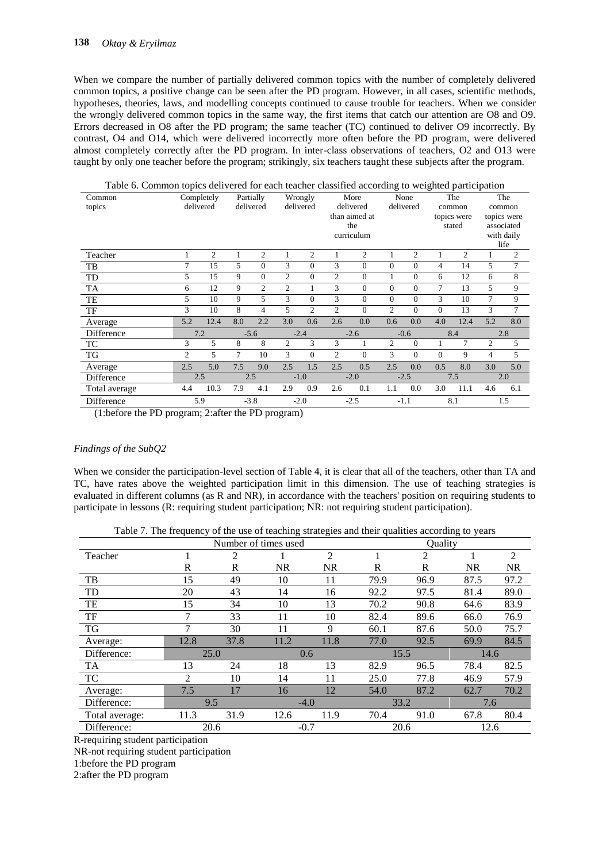When we compare the number of partially delivered common topics with the number of completely delivered common topics, a positive change can be seen after the PD program. However, in all cases, scientific methods, hypotheses, theories, laws, and modelling concepts continued to cause trouble for teachers. When we consider the wrongly delivered common topics in the same way, the first items that catch our attention are O8 and O9. Errors decreased in O8 after the PD program; the same teacher (TC) continued to deliver O9 incorrectly. By contrast, O4 and O14, which were delivered incorrectly more often before the PD program, were delivered almost completely correctly after the PD program. In inter-class observations of teachers, O2 and O13 were taught by only one teacher before the program; strikingly, six teachers taught these subjects after the program.

| Table 6. Common topics delivered for each teacher classified according to weighted participation |        |                |     |                |                |                |                |                |          |              |                |                |                |                    |
|--------------------------------------------------------------------------------------------------|--------|----------------|-----|----------------|----------------|----------------|----------------|----------------|----------|--------------|----------------|----------------|----------------|--------------------|
| Common                                                                                           |        | Completely     |     | Partially      |                | Wrongly        |                | More           |          | None         |                | The            |                | The                |
| topics                                                                                           |        | delivered      |     | delivered      |                | delivered      |                | delivered      |          | delivered    |                | common         |                | common             |
|                                                                                                  |        |                |     |                |                |                |                | than aimed at  |          |              |                | topics were    |                | topics were        |
|                                                                                                  |        |                |     |                |                |                |                | the            |          |              |                | stated         |                | associated         |
|                                                                                                  |        |                |     |                |                |                |                | curriculum     |          |              |                |                |                | with daily<br>life |
|                                                                                                  |        | $\overline{c}$ | 1   | $\overline{2}$ | 1              | 2              | 1              | $\overline{c}$ | 1        | 2            | 1              | $\overline{c}$ |                | $\overline{2}$     |
| Teacher                                                                                          |        |                |     |                |                |                |                |                |          |              |                |                |                |                    |
| TB                                                                                               | $\tau$ | 15             | 5   | $\Omega$       | 3              | $\Omega$       | 3              | $\Omega$       | $\Omega$ | $\Omega$     | 4              | 14             | 5              | 7                  |
| TD                                                                                               | 5      | 15             | 9   | $\overline{0}$ | $\overline{c}$ | $\mathbf{0}$   | $\overline{c}$ | $\Omega$       | 1        | $\Omega$     | 6              | 12             | 6              | 8                  |
| TA                                                                                               | 6      | 12             | 9   | $\overline{2}$ | $\overline{2}$ | 1              | 3              | $\Omega$       | $\Omega$ | $\mathbf{0}$ | 7              | 13             | 5              | 9                  |
| TE                                                                                               | 5      | 10             | 9   | 5              | 3              | $\Omega$       | 3              | $\Omega$       | $\Omega$ | $\Omega$     | 3              | 10             | 7              | 9                  |
| TF                                                                                               | 3      | 10             | 8   | $\overline{4}$ | 5              | $\overline{c}$ | $\overline{c}$ | $\Omega$       | 2        | $\Omega$     | $\Omega$       | 13             | 3              | 7                  |
| Average                                                                                          | 5.2    | 12.4           | 8.0 | 2.2            | 3.0            | 0.6            | 2.6            | 0.0            | 0.6      | 0.0          | 4.0            | 12.4           | 5.2            | 8.0                |
| Difference                                                                                       |        | 7.2            |     | $-5.6$         |                | $-2.4$         |                | $-2.6$         |          | $-0.6$       |                | 8.4            |                | 2.8                |
| TC                                                                                               | 3      | 5              | 8   | 8              | $\overline{c}$ | 3              | 3              | 1              | 2        | $\mathbf{0}$ | 1              | 7              | $\overline{c}$ | 5                  |
| TG                                                                                               | 2      | 5              | 7   | 10             | 3              | $\mathbf{0}$   | $\overline{c}$ | $\mathbf{0}$   | 3        | $\Omega$     | $\overline{0}$ | 9              | 4              | 5                  |
| Average                                                                                          | 2.5    | 5.0            | 7.5 | 9.0            | 2.5            | 1.5            | 2.5            | 0.5            | 2.5      | 0.0          | 0.5            | 8.0            | 3.0            | 5.0                |
| Difference                                                                                       |        | 2.5            |     | 2.5            |                | $-1.0$         |                | $-2.0$         |          | $-2.5$       |                | 7.5            |                | 2.0                |
| Total average                                                                                    | 4.4    | 10.3           | 7.9 | 4.1            | 2.9            | 0.9            | 2.6            | 0.1            | 1.1      | 0.0          | 3.0            | 11.1           | 4.6            | 6.1                |
| Difference                                                                                       |        | 5.9            |     | $-3.8$         |                | $-2.0$         |                | $-2.5$         |          | $-1.1$       |                | 8.1            |                | 1.5                |

(1:before the PD program; 2:after the PD program)

## *Findings of the SubQ2*

When we consider the participation-level section of Table 4, it is clear that all of the teachers, other than TA and TC, have rates above the weighted participation limit in this dimension. The use of teaching strategies is evaluated in different columns (as R and NR), in accordance with the teachers' position on requiring students to participate in lessons (R: requiring student participation; NR: not requiring student participation).

Table 7. The frequency of the use of teaching strategies and their qualities according to years

|                | $\mathbf{r}$ |      |                      | ັ         | $\mathbf{r}$ |      |           |           |  |
|----------------|--------------|------|----------------------|-----------|--------------|------|-----------|-----------|--|
|                |              |      | Number of times used |           | Quality      |      |           |           |  |
| Teacher        |              | 2    |                      | 2         |              | 2    |           | 2         |  |
|                | R            | R    | <b>NR</b>            | <b>NR</b> | $\mathbb{R}$ | R    | <b>NR</b> | <b>NR</b> |  |
| TB             | 15           | 49   | 10                   | 11        | 79.9         | 96.9 | 87.5      | 97.2      |  |
| TD             | 20           | 43   | 14                   | 16        | 92.2         | 97.5 | 81.4      | 89.0      |  |
| TE             | 15           | 34   | 10                   | 13        | 70.2         | 90.8 | 64.6      | 83.9      |  |
| TF             | 7            | 33   | 11                   | 10        | 82.4         | 89.6 | 66.0      | 76.9      |  |
| TG             | 7            | 30   | 11                   | 9         | 60.1         | 87.6 | 50.0      | 75.7      |  |
| Average:       | 12.8         | 37.8 | 11.2                 | 11.8      | 77.0         | 92.5 | 69.9      | 84.5      |  |
| Difference:    | 25.0         |      | 0.6                  |           |              | 15.5 | 14.6      |           |  |
| <b>TA</b>      | 13           | 24   | 18                   | 13        | 82.9         | 96.5 | 78.4      | 82.5      |  |
| TC             | 2            | 10   | 14                   | 11        | 25.0         | 77.8 | 46.9      | 57.9      |  |
| Average:       | 7.5          | 17   | 16                   | 12        | 54.0         | 87.2 | 62.7      | 70.2      |  |
| Difference:    | 9.5          |      |                      | $-4.0$    |              | 33.2 | 7.6       |           |  |
| Total average: | 11.3         | 31.9 | 12.6                 | 11.9      | 70.4         | 91.0 | 67.8      | 80.4      |  |
| Difference:    | 20.6         |      |                      | $-0.7$    |              | 20.6 | 12.6      |           |  |

R-requiring student participation

NR-not requiring student participation

1:before the PD program

2:after the PD program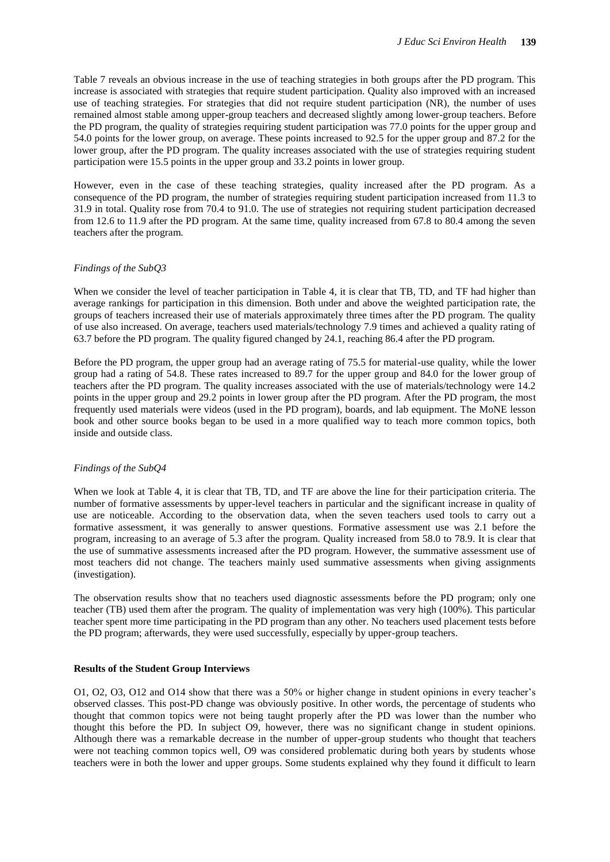Table 7 reveals an obvious increase in the use of teaching strategies in both groups after the PD program. This increase is associated with strategies that require student participation. Quality also improved with an increased use of teaching strategies. For strategies that did not require student participation (NR), the number of uses remained almost stable among upper-group teachers and decreased slightly among lower-group teachers. Before the PD program, the quality of strategies requiring student participation was 77.0 points for the upper group and 54.0 points for the lower group, on average. These points increased to 92.5 for the upper group and 87.2 for the lower group, after the PD program. The quality increases associated with the use of strategies requiring student participation were 15.5 points in the upper group and 33.2 points in lower group.

However, even in the case of these teaching strategies, quality increased after the PD program. As a consequence of the PD program, the number of strategies requiring student participation increased from 11.3 to 31.9 in total. Quality rose from 70.4 to 91.0. The use of strategies not requiring student participation decreased from 12.6 to 11.9 after the PD program. At the same time, quality increased from 67.8 to 80.4 among the seven teachers after the program.

#### *Findings of the SubQ3*

When we consider the level of teacher participation in Table 4, it is clear that TB, TD, and TF had higher than average rankings for participation in this dimension. Both under and above the weighted participation rate, the groups of teachers increased their use of materials approximately three times after the PD program. The quality of use also increased. On average, teachers used materials/technology 7.9 times and achieved a quality rating of 63.7 before the PD program. The quality figured changed by 24.1, reaching 86.4 after the PD program.

Before the PD program, the upper group had an average rating of 75.5 for material-use quality, while the lower group had a rating of 54.8. These rates increased to 89.7 for the upper group and 84.0 for the lower group of teachers after the PD program. The quality increases associated with the use of materials/technology were 14.2 points in the upper group and 29.2 points in lower group after the PD program. After the PD program, the most frequently used materials were videos (used in the PD program), boards, and lab equipment. The MoNE lesson book and other source books began to be used in a more qualified way to teach more common topics, both inside and outside class.

#### *Findings of the SubQ4*

When we look at Table 4, it is clear that TB, TD, and TF are above the line for their participation criteria. The number of formative assessments by upper-level teachers in particular and the significant increase in quality of use are noticeable. According to the observation data, when the seven teachers used tools to carry out a formative assessment, it was generally to answer questions. Formative assessment use was 2.1 before the program, increasing to an average of 5.3 after the program. Quality increased from 58.0 to 78.9. It is clear that the use of summative assessments increased after the PD program. However, the summative assessment use of most teachers did not change. The teachers mainly used summative assessments when giving assignments (investigation).

The observation results show that no teachers used diagnostic assessments before the PD program; only one teacher (TB) used them after the program. The quality of implementation was very high (100%). This particular teacher spent more time participating in the PD program than any other. No teachers used placement tests before the PD program; afterwards, they were used successfully, especially by upper-group teachers.

#### **Results of the Student Group Interviews**

O1, O2, O3, O12 and O14 show that there was a 50% or higher change in student opinions in every teacher's observed classes. This post-PD change was obviously positive. In other words, the percentage of students who thought that common topics were not being taught properly after the PD was lower than the number who thought this before the PD. In subject O9, however, there was no significant change in student opinions. Although there was a remarkable decrease in the number of upper-group students who thought that teachers were not teaching common topics well, O9 was considered problematic during both years by students whose teachers were in both the lower and upper groups. Some students explained why they found it difficult to learn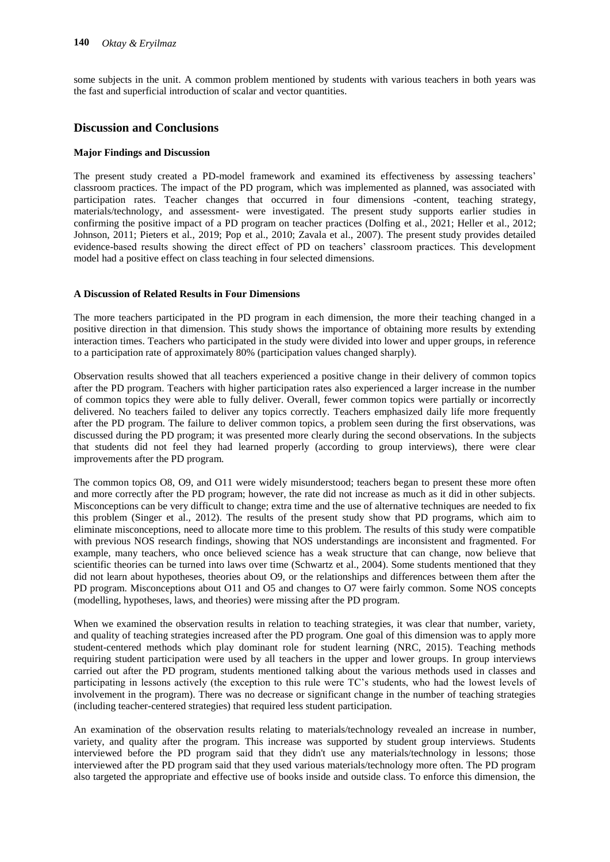some subjects in the unit. A common problem mentioned by students with various teachers in both years was the fast and superficial introduction of scalar and vector quantities.

## **Discussion and Conclusions**

## **Major Findings and Discussion**

The present study created a PD-model framework and examined its effectiveness by assessing teachers' classroom practices. The impact of the PD program, which was implemented as planned, was associated with participation rates. Teacher changes that occurred in four dimensions -content, teaching strategy, materials/technology, and assessment- were investigated. The present study supports earlier studies in confirming the positive impact of a PD program on teacher practices (Dolfing et al., 2021; Heller et al., 2012; Johnson, 2011; Pieters et al., 2019; Pop et al., 2010; Zavala et al., 2007). The present study provides detailed evidence-based results showing the direct effect of PD on teachers' classroom practices. This development model had a positive effect on class teaching in four selected dimensions.

#### **A Discussion of Related Results in Four Dimensions**

The more teachers participated in the PD program in each dimension, the more their teaching changed in a positive direction in that dimension. This study shows the importance of obtaining more results by extending interaction times. Teachers who participated in the study were divided into lower and upper groups, in reference to a participation rate of approximately 80% (participation values changed sharply).

Observation results showed that all teachers experienced a positive change in their delivery of common topics after the PD program. Teachers with higher participation rates also experienced a larger increase in the number of common topics they were able to fully deliver. Overall, fewer common topics were partially or incorrectly delivered. No teachers failed to deliver any topics correctly. Teachers emphasized daily life more frequently after the PD program. The failure to deliver common topics, a problem seen during the first observations, was discussed during the PD program; it was presented more clearly during the second observations. In the subjects that students did not feel they had learned properly (according to group interviews), there were clear improvements after the PD program.

The common topics O8, O9, and O11 were widely misunderstood; teachers began to present these more often and more correctly after the PD program; however, the rate did not increase as much as it did in other subjects. Misconceptions can be very difficult to change; extra time and the use of alternative techniques are needed to fix this problem (Singer et al., 2012). The results of the present study show that PD programs, which aim to eliminate misconceptions, need to allocate more time to this problem. The results of this study were compatible with previous NOS research findings, showing that NOS understandings are inconsistent and fragmented. For example, many teachers, who once believed science has a weak structure that can change, now believe that scientific theories can be turned into laws over time (Schwartz et al., 2004). Some students mentioned that they did not learn about hypotheses, theories about O9, or the relationships and differences between them after the PD program. Misconceptions about O11 and O5 and changes to O7 were fairly common. Some NOS concepts (modelling, hypotheses, laws, and theories) were missing after the PD program.

When we examined the observation results in relation to teaching strategies, it was clear that number, variety, and quality of teaching strategies increased after the PD program. One goal of this dimension was to apply more student-centered methods which play dominant role for student learning (NRC, 2015). Teaching methods requiring student participation were used by all teachers in the upper and lower groups. In group interviews carried out after the PD program, students mentioned talking about the various methods used in classes and participating in lessons actively (the exception to this rule were TC's students, who had the lowest levels of involvement in the program). There was no decrease or significant change in the number of teaching strategies (including teacher-centered strategies) that required less student participation.

An examination of the observation results relating to materials/technology revealed an increase in number, variety, and quality after the program. This increase was supported by student group interviews. Students interviewed before the PD program said that they didn't use any materials/technology in lessons; those interviewed after the PD program said that they used various materials/technology more often. The PD program also targeted the appropriate and effective use of books inside and outside class. To enforce this dimension, the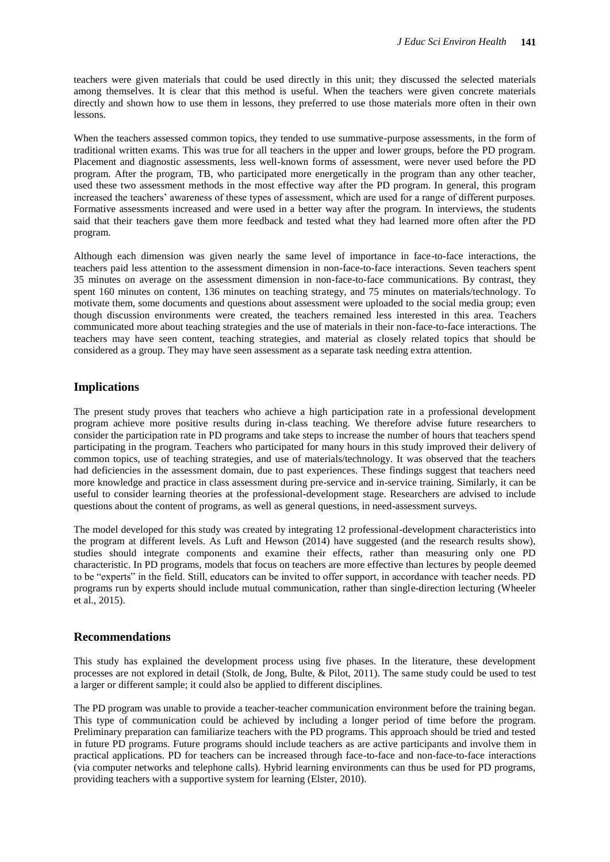teachers were given materials that could be used directly in this unit; they discussed the selected materials among themselves. It is clear that this method is useful. When the teachers were given concrete materials directly and shown how to use them in lessons, they preferred to use those materials more often in their own lessons.

When the teachers assessed common topics, they tended to use summative-purpose assessments, in the form of traditional written exams. This was true for all teachers in the upper and lower groups, before the PD program. Placement and diagnostic assessments, less well-known forms of assessment, were never used before the PD program. After the program, TB, who participated more energetically in the program than any other teacher, used these two assessment methods in the most effective way after the PD program. In general, this program increased the teachers' awareness of these types of assessment, which are used for a range of different purposes. Formative assessments increased and were used in a better way after the program. In interviews, the students said that their teachers gave them more feedback and tested what they had learned more often after the PD program.

Although each dimension was given nearly the same level of importance in face-to-face interactions, the teachers paid less attention to the assessment dimension in non-face-to-face interactions. Seven teachers spent 35 minutes on average on the assessment dimension in non-face-to-face communications. By contrast, they spent 160 minutes on content, 136 minutes on teaching strategy, and 75 minutes on materials/technology. To motivate them, some documents and questions about assessment were uploaded to the social media group; even though discussion environments were created, the teachers remained less interested in this area. Teachers communicated more about teaching strategies and the use of materials in their non-face-to-face interactions. The teachers may have seen content, teaching strategies, and material as closely related topics that should be considered as a group. They may have seen assessment as a separate task needing extra attention.

## **Implications**

The present study proves that teachers who achieve a high participation rate in a professional development program achieve more positive results during in-class teaching. We therefore advise future researchers to consider the participation rate in PD programs and take steps to increase the number of hours that teachers spend participating in the program. Teachers who participated for many hours in this study improved their delivery of common topics, use of teaching strategies, and use of materials/technology. It was observed that the teachers had deficiencies in the assessment domain, due to past experiences. These findings suggest that teachers need more knowledge and practice in class assessment during pre-service and in-service training. Similarly, it can be useful to consider learning theories at the professional-development stage. Researchers are advised to include questions about the content of programs, as well as general questions, in need-assessment surveys.

The model developed for this study was created by integrating 12 professional-development characteristics into the program at different levels. As Luft and Hewson (2014) have suggested (and the research results show), studies should integrate components and examine their effects, rather than measuring only one PD characteristic. In PD programs, models that focus on teachers are more effective than lectures by people deemed to be "experts" in the field. Still, educators can be invited to offer support, in accordance with teacher needs. PD programs run by experts should include mutual communication, rather than single-direction lecturing (Wheeler et al., 2015).

## **Recommendations**

This study has explained the development process using five phases. In the literature, these development processes are not explored in detail (Stolk, de Jong, Bulte, & Pilot, 2011). The same study could be used to test a larger or different sample; it could also be applied to different disciplines.

The PD program was unable to provide a teacher-teacher communication environment before the training began. This type of communication could be achieved by including a longer period of time before the program. Preliminary preparation can familiarize teachers with the PD programs. This approach should be tried and tested in future PD programs. Future programs should include teachers as are active participants and involve them in practical applications. PD for teachers can be increased through face-to-face and non-face-to-face interactions (via computer networks and telephone calls). Hybrid learning environments can thus be used for PD programs, providing teachers with a supportive system for learning (Elster, 2010).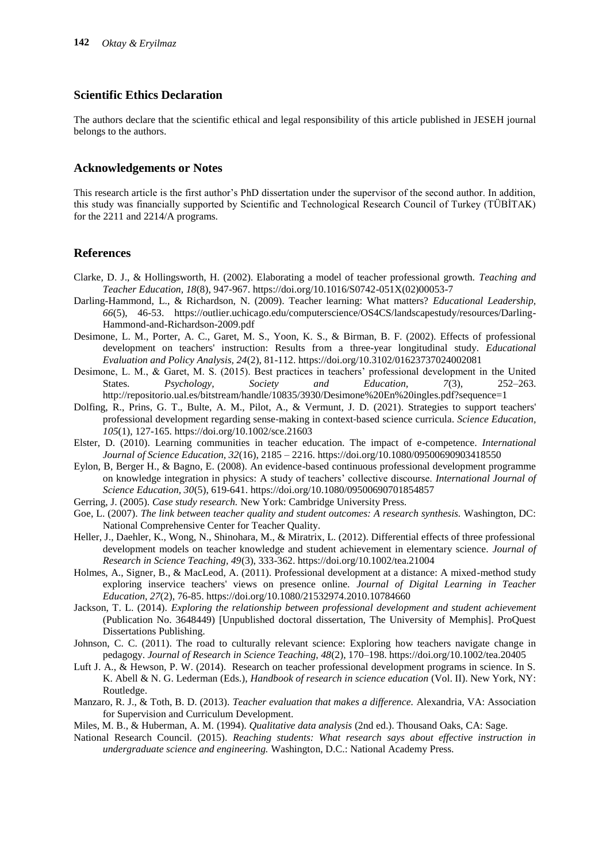## **Scientific Ethics Declaration**

The authors declare that the scientific ethical and legal responsibility of this article published in JESEH journal belongs to the authors.

## **Acknowledgements or Notes**

This research article is the first author's PhD dissertation under the supervisor of the second author. In addition, this study was financially supported by Scientific and Technological Research Council of Turkey (TÜBİTAK) for the 2211 and 2214/A programs.

## **References**

- Clarke, D. J., & Hollingsworth, H. (2002). Elaborating a model of teacher professional growth. *Teaching and Teacher Education, 18*(8), 947-967. https://doi.org/10.1016/S0742-051X(02)00053-7
- Darling-Hammond, L., & Richardson, N. (2009). Teacher learning: What matters? *Educational Leadership, 66*(5), 46-53. [https://outlier.uchicago.edu/computerscience/OS4CS/landscapestudy/resources/Darling-](https://outlier.uchicago.edu/computerscience/OS4CS/landscapestudy/resources/Darling-Hammond-and-)[Hammond-and-R](https://outlier.uchicago.edu/computerscience/OS4CS/landscapestudy/resources/Darling-Hammond-and-)ichardson-2009.pdf
- Desimone, L. M., Porter, A. C., Garet, M. S., Yoon, K. S., & Birman, B. F. (2002). Effects of professional development on teachers' instruction: Results from a three-year longitudinal study*. Educational Evaluation and Policy Analysis, 24*(2), 81-112. https://doi.org/10.3102/01623737024002081
- Desimone, L. M., & Garet, M. S. (2015). Best practices in teachers' professional development in the United States. *Psychology, Society and Education, 7*(3), 252–263. http://repositorio.ual.es/bitstream/handle/10835/3930/Desimone%20En%20ingles.pdf?sequence=1
- Dolfing, R., Prins, G. T., Bulte, A. M., Pilot, A., & Vermunt, J. D. (2021). Strategies to support teachers' professional development regarding sense‐making in context‐based science curricula. *Science Education, 105*(1), 127-165. https://doi.org/10.1002/sce.21603
- Elster, D. (2010). Learning communities in teacher education. The impact of e-competence. *International Journal of Science Education, 32*(16), 2185 – 2216. https://doi.org/10.1080/09500690903418550
- Eylon, B, Berger H., & Bagno, E. (2008). An evidence-based continuous professional development programme on knowledge integration in physics: A study of teachers' collective discourse. *International Journal of Science Education, 30*(5), 619-641. https://doi.org/10.1080/09500690701854857
- Gerring, J. (2005). *Case study research.* New York: Cambridge University Press.
- Goe, L. (2007). *The link between teacher quality and student outcomes: A research synthesis.* Washington, DC: National Comprehensive Center for Teacher Quality.
- Heller, J., Daehler, K., Wong, N., Shinohara, M., & Miratrix, L. (2012). Differential effects of three professional development models on teacher knowledge and student achievement in elementary science. *Journal of Research in Science Teaching, 49*(3), 333-362. https://doi.org/10.1002/tea.21004
- Holmes, A., Signer, B., & MacLeod, A. (2011). Professional development at a distance: A mixed-method study exploring inservice teachers' views on presence online. *Journal of Digital Learning in Teacher Education, 27*(2), 76-85. https://doi.org/10.1080/21532974.2010.10784660
- Jackson, T. L. (2014). *Exploring the relationship between professional development and student achievement* (Publication No. 3648449) [Unpublished doctoral dissertation, The University of Memphis]. ProQuest Dissertations Publishing.
- Johnson, C. C. (2011). The road to culturally relevant science: Exploring how teachers navigate change in pedagogy. *Journal of Research in Science Teaching, 48*(2), 170–198. https://doi.org/10.1002/tea.20405
- Luft J. A., & Hewson, P. W. (2014). Research on teacher professional development programs in science. In S. K. Abell & N. G. Lederman (Eds.), *Handbook of research in science education* (Vol. II). New York, NY: Routledge.
- Manzaro, R. J., & Toth, B. D. (2013). *Teacher evaluation that makes a difference.* Alexandria, VA: Association for Supervision and Curriculum Development.
- Miles, M. B., & Huberman, A. M. (1994). *Qualitative data analysis* (2nd ed.). Thousand Oaks, CA: Sage.
- National Research Council. (2015). *Reaching students: What research says about effective instruction in undergraduate science and engineering.* Washington, D.C.: National Academy Press.